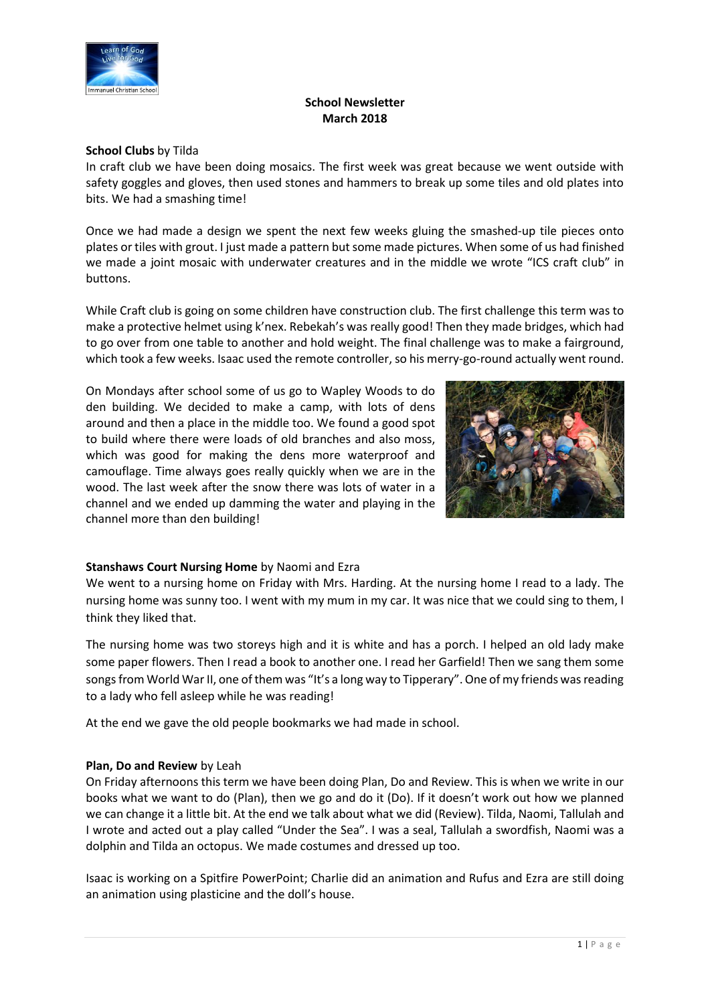

### **School Newsletter March 2018**

### **School Clubs** by Tilda

In craft club we have been doing mosaics. The first week was great because we went outside with safety goggles and gloves, then used stones and hammers to break up some tiles and old plates into bits. We had a smashing time!

Once we had made a design we spent the next few weeks gluing the smashed-up tile pieces onto plates or tiles with grout. I just made a pattern but some made pictures. When some of us had finished we made a joint mosaic with underwater creatures and in the middle we wrote "ICS craft club" in buttons.

While Craft club is going on some children have construction club. The first challenge this term was to make a protective helmet using k'nex. Rebekah's was really good! Then they made bridges, which had to go over from one table to another and hold weight. The final challenge was to make a fairground, which took a few weeks. Isaac used the remote controller, so his merry-go-round actually went round.

On Mondays after school some of us go to Wapley Woods to do den building. We decided to make a camp, with lots of dens around and then a place in the middle too. We found a good spot to build where there were loads of old branches and also moss, which was good for making the dens more waterproof and camouflage. Time always goes really quickly when we are in the wood. The last week after the snow there was lots of water in a channel and we ended up damming the water and playing in the channel more than den building!



# **Stanshaws Court Nursing Home** by Naomi and Ezra

We went to a nursing home on Friday with Mrs. Harding. At the nursing home I read to a lady. The nursing home was sunny too. I went with my mum in my car. It was nice that we could sing to them, I think they liked that.

The nursing home was two storeys high and it is white and has a porch. I helped an old lady make some paper flowers. Then I read a book to another one. I read her Garfield! Then we sang them some songs from World War II, one of them was "It's a long way to Tipperary". One of my friends was reading to a lady who fell asleep while he was reading!

At the end we gave the old people bookmarks we had made in school.

### **Plan, Do and Review** by Leah

On Friday afternoons this term we have been doing Plan, Do and Review. This is when we write in our books what we want to do (Plan), then we go and do it (Do). If it doesn't work out how we planned we can change it a little bit. At the end we talk about what we did (Review). Tilda, Naomi, Tallulah and I wrote and acted out a play called "Under the Sea". I was a seal, Tallulah a swordfish, Naomi was a dolphin and Tilda an octopus. We made costumes and dressed up too.

Isaac is working on a Spitfire PowerPoint; Charlie did an animation and Rufus and Ezra are still doing an animation using plasticine and the doll's house.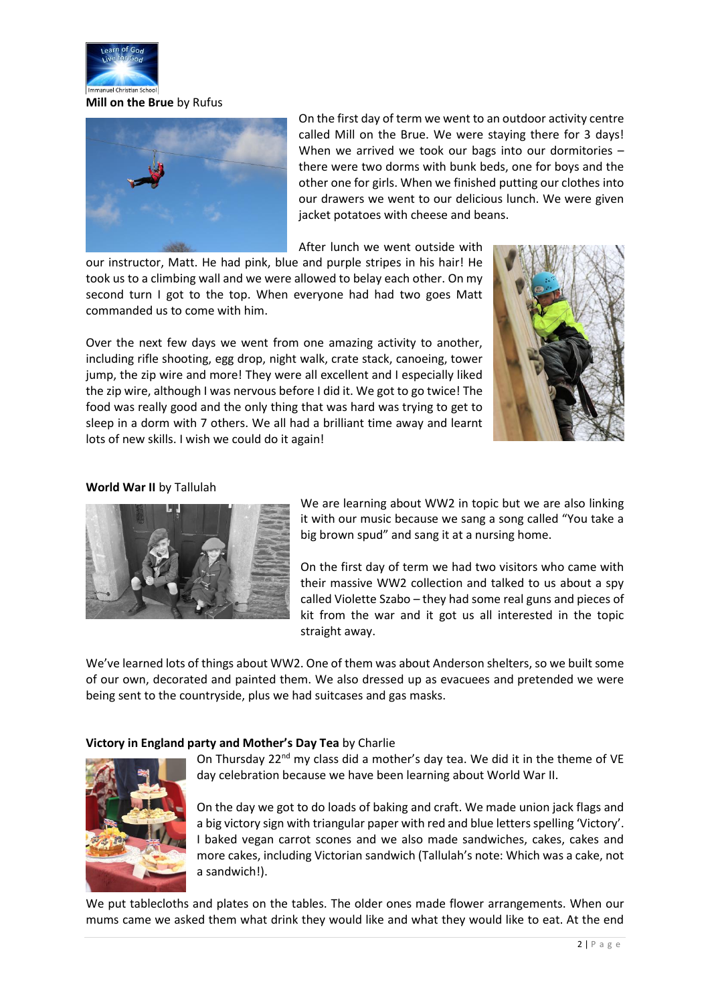

**Mill on the Brue** by Rufus



On the first day of term we went to an outdoor activity centre called Mill on the Brue. We were staying there for 3 days! When we arrived we took our bags into our dormitories – there were two dorms with bunk beds, one for boys and the other one for girls. When we finished putting our clothes into our drawers we went to our delicious lunch. We were given jacket potatoes with cheese and beans.

After lunch we went outside with

our instructor, Matt. He had pink, blue and purple stripes in his hair! He took us to a climbing wall and we were allowed to belay each other. On my second turn I got to the top. When everyone had had two goes Matt commanded us to come with him.

Over the next few days we went from one amazing activity to another, including rifle shooting, egg drop, night walk, crate stack, canoeing, tower jump, the zip wire and more! They were all excellent and I especially liked the zip wire, although I was nervous before I did it. We got to go twice! The food was really good and the only thing that was hard was trying to get to sleep in a dorm with 7 others. We all had a brilliant time away and learnt lots of new skills. I wish we could do it again!



## **World War II** by Tallulah



We are learning about WW2 in topic but we are also linking it with our music because we sang a song called "You take a big brown spud" and sang it at a nursing home.

On the first day of term we had two visitors who came with their massive WW2 collection and talked to us about a spy called Violette Szabo – they had some real guns and pieces of kit from the war and it got us all interested in the topic straight away.

We've learned lots of things about WW2. One of them was about Anderson shelters, so we built some of our own, decorated and painted them. We also dressed up as evacuees and pretended we were being sent to the countryside, plus we had suitcases and gas masks.

### **Victory in England party and Mother's Day Tea** by Charlie



On Thursday 22<sup>nd</sup> my class did a mother's day tea. We did it in the theme of VE day celebration because we have been learning about World War II.

On the day we got to do loads of baking and craft. We made union jack flags and a big victory sign with triangular paper with red and blue letters spelling 'Victory'. I baked vegan carrot scones and we also made sandwiches, cakes, cakes and more cakes, including Victorian sandwich (Tallulah's note: Which was a cake, not a sandwich!).

We put tablecloths and plates on the tables. The older ones made flower arrangements. When our mums came we asked them what drink they would like and what they would like to eat. At the end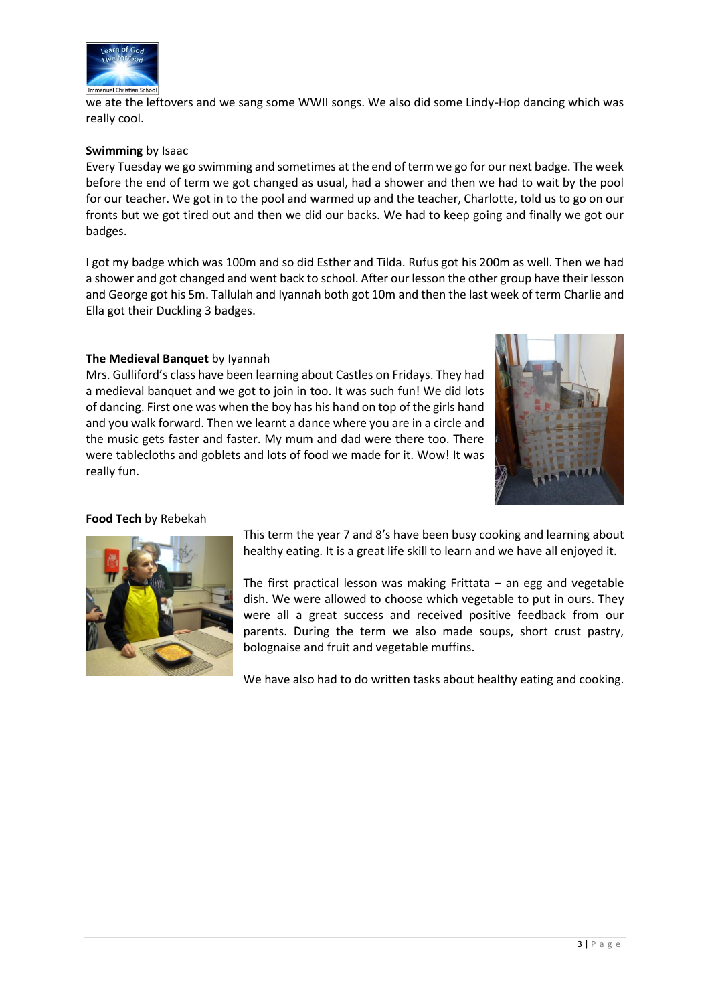

we ate the leftovers and we sang some WWII songs. We also did some Lindy-Hop dancing which was really cool.

#### **Swimming** by Isaac

Every Tuesday we go swimming and sometimes at the end of term we go for our next badge. The week before the end of term we got changed as usual, had a shower and then we had to wait by the pool for our teacher. We got in to the pool and warmed up and the teacher, Charlotte, told us to go on our fronts but we got tired out and then we did our backs. We had to keep going and finally we got our badges.

I got my badge which was 100m and so did Esther and Tilda. Rufus got his 200m as well. Then we had a shower and got changed and went back to school. After our lesson the other group have their lesson and George got his 5m. Tallulah and Iyannah both got 10m and then the last week of term Charlie and Ella got their Duckling 3 badges.

#### **The Medieval Banquet** by Iyannah

Mrs. Gulliford's class have been learning about Castles on Fridays. They had a medieval banquet and we got to join in too. It was such fun! We did lots of dancing. First one was when the boy has his hand on top of the girls hand and you walk forward. Then we learnt a dance where you are in a circle and the music gets faster and faster. My mum and dad were there too. There were tablecloths and goblets and lots of food we made for it. Wow! It was really fun.



#### **Food Tech** by Rebekah



This term the year 7 and 8's have been busy cooking and learning about healthy eating. It is a great life skill to learn and we have all enjoyed it.

The first practical lesson was making Frittata  $-$  an egg and vegetable dish. We were allowed to choose which vegetable to put in ours. They were all a great success and received positive feedback from our parents. During the term we also made soups, short crust pastry, bolognaise and fruit and vegetable muffins.

We have also had to do written tasks about healthy eating and cooking.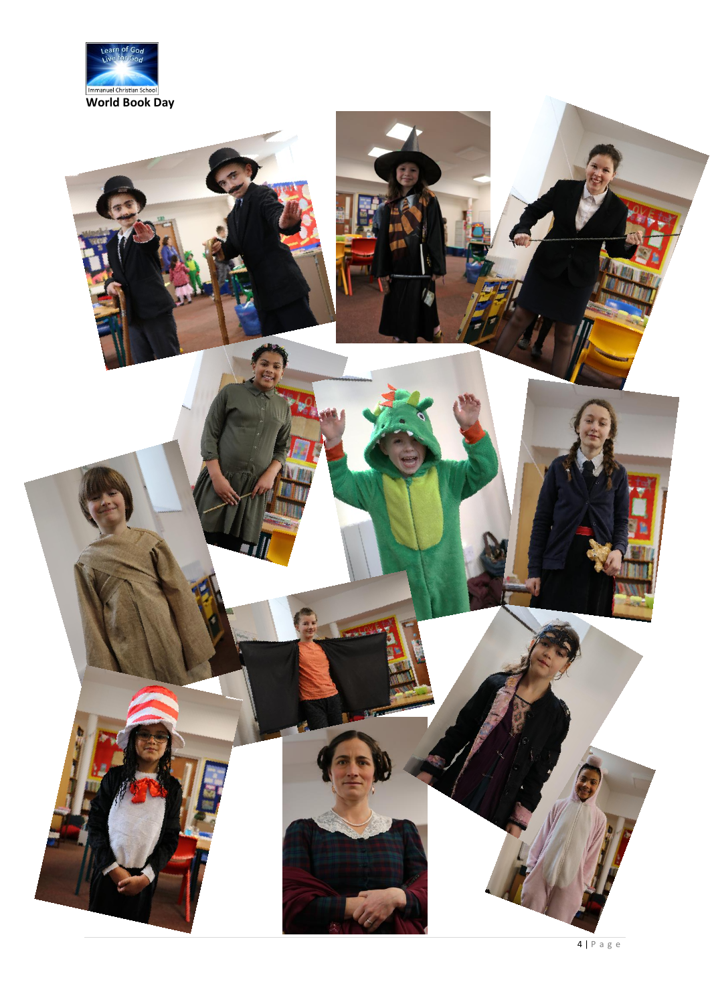